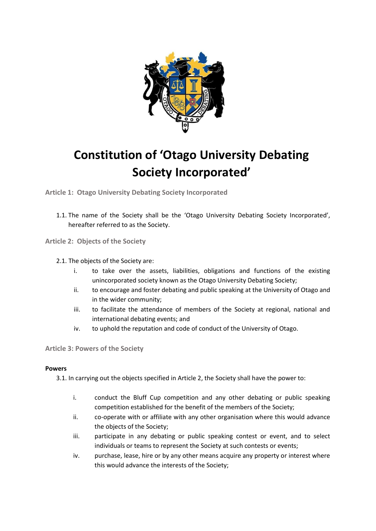

# **Constitution of 'Otago University Debating Society Incorporated'**

**Article 1: Otago University Debating Society Incorporated** 

1.1. The name of the Society shall be the 'Otago University Debating Society Incorporated', hereafter referred to as the Society.

**Article 2: Objects of the Society** 

#### 2.1. The objects of the Society are:

- i. to take over the assets, liabilities, obligations and functions of the existing unincorporated society known as the Otago University Debating Society;
- ii. to encourage and foster debating and public speaking at the University of Otago and in the wider community;
- iii. to facilitate the attendance of members of the Society at regional, national and international debating events; and
- iv. to uphold the reputation and code of conduct of the University of Otago.

#### **Article 3: Powers of the Society**

#### **Powers**

3.1. In carrying out the objects specified in Article 2, the Society shall have the power to:

- i. conduct the Bluff Cup competition and any other debating or public speaking competition established for the benefit of the members of the Society;
- ii. co-operate with or affiliate with any other organisation where this would advance the objects of the Society;
- iii. participate in any debating or public speaking contest or event, and to select individuals or teams to represent the Society at such contests or events;
- iv. purchase, lease, hire or by any other means acquire any property or interest where this would advance the interests of the Society;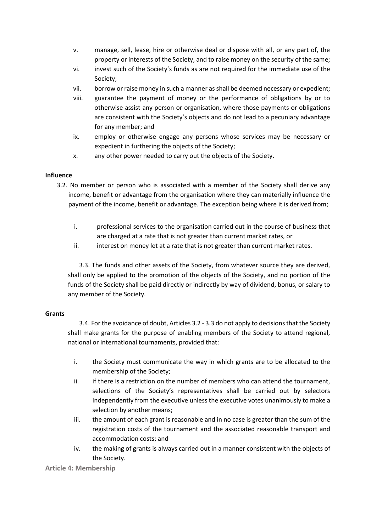- v. manage, sell, lease, hire or otherwise deal or dispose with all, or any part of, the property or interests of the Society, and to raise money on the security of the same;
- vi. invest such of the Society's funds as are not required for the immediate use of the Society;
- vii. borrow or raise money in such a manner as shall be deemed necessary or expedient;
- viii. guarantee the payment of money or the performance of obligations by or to otherwise assist any person or organisation, where those payments or obligations are consistent with the Society's objects and do not lead to a pecuniary advantage for any member; and
- ix. employ or otherwise engage any persons whose services may be necessary or expedient in furthering the objects of the Society;
- x. any other power needed to carry out the objects of the Society.

#### **Influence**

- 3.2. No member or person who is associated with a member of the Society shall derive any income, benefit or advantage from the organisation where they can materially influence the payment of the income, benefit or advantage. The exception being where it is derived from;
	- i. professional services to the organisation carried out in the course of business that are charged at a rate that is not greater than current market rates, or
	- ii. interest on money let at a rate that is not greater than current market rates.

3.3. The funds and other assets of the Society, from whatever source they are derived, shall only be applied to the promotion of the objects of the Society, and no portion of the funds of the Society shall be paid directly or indirectly by way of dividend, bonus, or salary to any member of the Society.

#### **Grants**

3.4. For the avoidance of doubt, Articles 3.2 - 3.3 do not apply to decisions that the Society shall make grants for the purpose of enabling members of the Society to attend regional, national or international tournaments, provided that:

- i. the Society must communicate the way in which grants are to be allocated to the membership of the Society;
- ii. if there is a restriction on the number of members who can attend the tournament, selections of the Society's representatives shall be carried out by selectors independently from the executive unless the executive votes unanimously to make a selection by another means;
- iii. the amount of each grant is reasonable and in no case is greater than the sum of the registration costs of the tournament and the associated reasonable transport and accommodation costs; and
- iv. the making of grants is always carried out in a manner consistent with the objects of the Society.

**Article 4: Membership**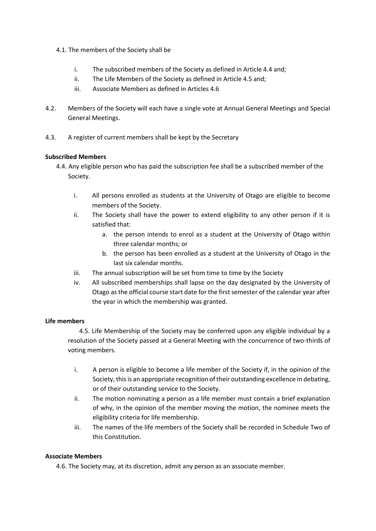- 4.1. The members of the Society shall be
	- i. The subscribed members of the Society as defined in Article 4.4 and;
	- ii. The Life Members of the Society as defined in Article 4.5 and;
	- iii. Associate Members as defined in Articles 4.6
- 4.2. Members of the Society will each have a single vote at Annual General Meetings and Special General Meetings.
- 4.3. A register of current members shall be kept by the Secretary

#### **Subscribed Members**

- 4.4. Any eligible person who has paid the subscription fee shall be a subscribed member of the Society.
	- i. All persons enrolled as students at the University of Otago are eligible to become members of the Society.
	- ii. The Society shall have the power to extend eligibility to any other person if it is satisfied that:
		- a. the person intends to enrol as a student at the University of Otago within three calendar months; or
		- b. the person has been enrolled as a student at the University of Otago in the last six calendar months.
	- iii. The annual subscription will be set from time to time by the Society
	- iv. All subscribed memberships shall lapse on the day designated by the University of Otago as the official course start date for the first semester of the calendar year after the year in which the membership was granted.

#### **Life members**

4.5. Life Membership of the Society may be conferred upon any eligible individual by a resolution of the Society passed at a General Meeting with the concurrence of two-thirds of voting members.

- i. A person is eligible to become a life member of the Society if, in the opinion of the Society, this is an appropriate recognition of their outstanding excellence in debating, or of their outstanding service to the Society.
- ii. The motion nominating a person as a life member must contain a brief explanation of why, in the opinion of the member moving the motion, the nominee meets the eligibility criteria for life membership.
- iii. The names of the life members of the Society shall be recorded in Schedule Two of this Constitution.

#### **Associate Members**

4.6. The Society may, at its discretion, admit any person as an associate member.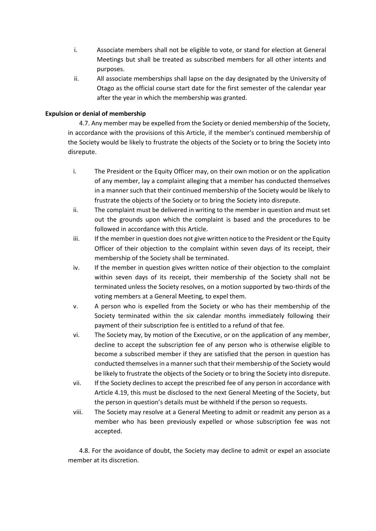- i. Associate members shall not be eligible to vote, or stand for election at General Meetings but shall be treated as subscribed members for all other intents and purposes.
- ii. All associate memberships shall lapse on the day designated by the University of Otago as the official course start date for the first semester of the calendar year after the year in which the membership was granted.

#### **Expulsion or denial of membership**

4.7. Any member may be expelled from the Society or denied membership of the Society, in accordance with the provisions of this Article, if the member's continued membership of the Society would be likely to frustrate the objects of the Society or to bring the Society into disrepute.

- i. The President or the Equity Officer may, on their own motion or on the application of any member, lay a complaint alleging that a member has conducted themselves in a manner such that their continued membership of the Society would be likely to frustrate the objects of the Society or to bring the Society into disrepute.
- ii. The complaint must be delivered in writing to the member in question and must set out the grounds upon which the complaint is based and the procedures to be followed in accordance with this Article.
- iii. If the member in question does not give written notice to the President or the Equity Officer of their objection to the complaint within seven days of its receipt, their membership of the Society shall be terminated.
- iv. If the member in question gives written notice of their objection to the complaint within seven days of its receipt, their membership of the Society shall not be terminated unless the Society resolves, on a motion supported by two-thirds of the voting members at a General Meeting, to expel them.
- v. A person who is expelled from the Society or who has their membership of the Society terminated within the six calendar months immediately following their payment of their subscription fee is entitled to a refund of that fee.
- vi. The Society may, by motion of the Executive, or on the application of any member, decline to accept the subscription fee of any person who is otherwise eligible to become a subscribed member if they are satisfied that the person in question has conducted themselves in a manner such that their membership of the Society would be likely to frustrate the objects of the Society or to bring the Society into disrepute.
- vii. If the Society declines to accept the prescribed fee of any person in accordance with Article 4.19, this must be disclosed to the next General Meeting of the Society, but the person in question's details must be withheld if the person so requests.
- viii. The Society may resolve at a General Meeting to admit or readmit any person as a member who has been previously expelled or whose subscription fee was not accepted.

4.8. For the avoidance of doubt, the Society may decline to admit or expel an associate member at its discretion.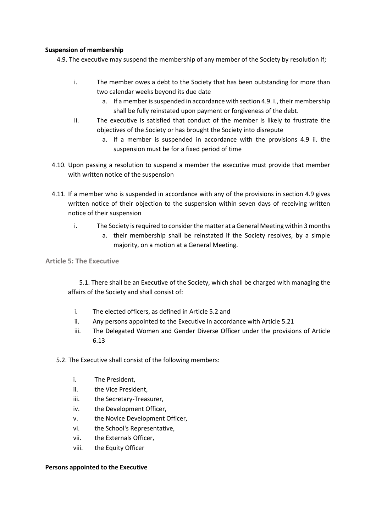#### **Suspension of membership**

4.9. The executive may suspend the membership of any member of the Society by resolution if;

- i. The member owes a debt to the Society that has been outstanding for more than two calendar weeks beyond its due date
	- a. If a member is suspended in accordance with section 4.9. I., their membership shall be fully reinstated upon payment or forgiveness of the debt.
- ii. The executive is satisfied that conduct of the member is likely to frustrate the objectives of the Society or has brought the Society into disrepute
	- a. If a member is suspended in accordance with the provisions 4.9 ii. the suspension must be for a fixed period of time
- 4.10. Upon passing a resolution to suspend a member the executive must provide that member with written notice of the suspension
- 4.11. If a member who is suspended in accordance with any of the provisions in section 4.9 gives written notice of their objection to the suspension within seven days of receiving written notice of their suspension
	- i. The Society is required to consider the matter at a General Meeting within 3 months
		- a. their membership shall be reinstated if the Society resolves, by a simple majority, on a motion at a General Meeting.

**Article 5: The Executive** 

5.1. There shall be an Executive of the Society, which shall be charged with managing the affairs of the Society and shall consist of:

- i. The elected officers, as defined in Article 5.2 and
- ii. Any persons appointed to the Executive in accordance with Article 5.21
- iii. The Delegated Women and Gender Diverse Officer under the provisions of Article 6.13
- 5.2. The Executive shall consist of the following members:
	- i. The President,
	- ii. the Vice President,
	- iii. the Secretary-Treasurer,
	- iv. the Development Officer,
	- v. the Novice Development Officer,
	- vi. the School's Representative,
	- vii. the Externals Officer,
	- viii. the Equity Officer

#### **Persons appointed to the Executive**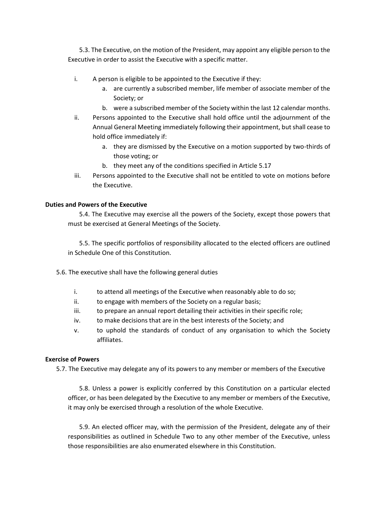5.3. The Executive, on the motion of the President, may appoint any eligible person to the Executive in order to assist the Executive with a specific matter.

- i. A person is eligible to be appointed to the Executive if they:
	- a. are currently a subscribed member, life member of associate member of the Society; or
	- b. were a subscribed member of the Society within the last 12 calendar months.
- ii. Persons appointed to the Executive shall hold office until the adjournment of the Annual General Meeting immediately following their appointment, but shall cease to hold office immediately if:
	- a. they are dismissed by the Executive on a motion supported by two-thirds of those voting; or
	- b. they meet any of the conditions specified in Article 5.17
- iii. Persons appointed to the Executive shall not be entitled to vote on motions before the Executive.

#### **Duties and Powers of the Executive**

5.4. The Executive may exercise all the powers of the Society, except those powers that must be exercised at General Meetings of the Society.

5.5. The specific portfolios of responsibility allocated to the elected officers are outlined in Schedule One of this Constitution.

- 5.6. The executive shall have the following general duties
	- i. to attend all meetings of the Executive when reasonably able to do so;
	- ii. to engage with members of the Society on a regular basis;
	- iii. to prepare an annual report detailing their activities in their specific role;
	- iv. to make decisions that are in the best interests of the Society; and
	- v. to uphold the standards of conduct of any organisation to which the Society affiliates.

#### **Exercise of Powers**

5.7. The Executive may delegate any of its powers to any member or members of the Executive

5.8. Unless a power is explicitly conferred by this Constitution on a particular elected officer, or has been delegated by the Executive to any member or members of the Executive, it may only be exercised through a resolution of the whole Executive.

5.9. An elected officer may, with the permission of the President, delegate any of their responsibilities as outlined in Schedule Two to any other member of the Executive, unless those responsibilities are also enumerated elsewhere in this Constitution.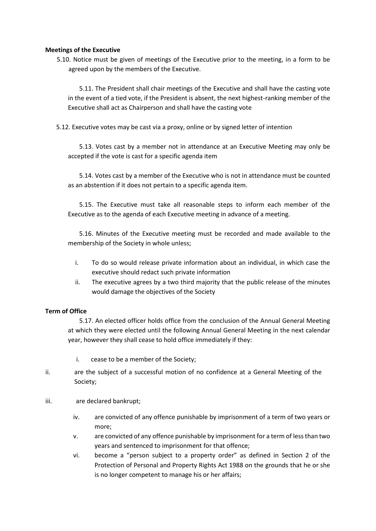#### **Meetings of the Executive**

5.10. Notice must be given of meetings of the Executive prior to the meeting, in a form to be agreed upon by the members of the Executive.

5.11. The President shall chair meetings of the Executive and shall have the casting vote in the event of a tied vote, if the President is absent, the next highest-ranking member of the Executive shall act as Chairperson and shall have the casting vote

5.12. Executive votes may be cast via a proxy, online or by signed letter of intention

5.13. Votes cast by a member not in attendance at an Executive Meeting may only be accepted if the vote is cast for a specific agenda item

5.14. Votes cast by a member of the Executive who is not in attendance must be counted as an abstention if it does not pertain to a specific agenda item.

5.15. The Executive must take all reasonable steps to inform each member of the Executive as to the agenda of each Executive meeting in advance of a meeting.

5.16. Minutes of the Executive meeting must be recorded and made available to the membership of the Society in whole unless;

- i. To do so would release private information about an individual, in which case the executive should redact such private information
- ii. The executive agrees by a two third majority that the public release of the minutes would damage the objectives of the Society

#### **Term of Office**

5.17. An elected officer holds office from the conclusion of the Annual General Meeting at which they were elected until the following Annual General Meeting in the next calendar year, however they shall cease to hold office immediately if they:

- i. cease to be a member of the Society;
- ii. are the subject of a successful motion of no confidence at a General Meeting of the Society;
- iii. are declared bankrupt;
	- iv. are convicted of any offence punishable by imprisonment of a term of two years or more;
	- v. are convicted of any offence punishable by imprisonment for a term of less than two years and sentenced to imprisonment for that offence;
	- vi. become a "person subject to a property order" as defined in Section 2 of the Protection of Personal and Property Rights Act 1988 on the grounds that he or she is no longer competent to manage his or her affairs;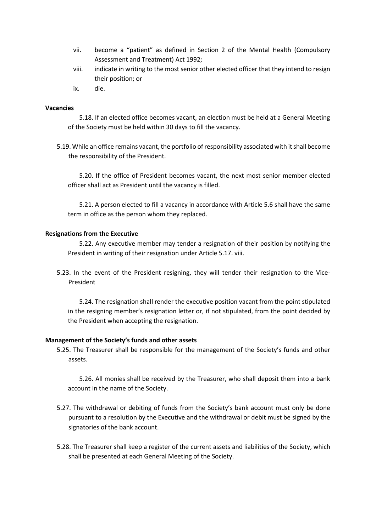- vii. become a "patient" as defined in Section 2 of the Mental Health (Compulsory Assessment and Treatment) Act 1992;
- viii. indicate in writing to the most senior other elected officer that they intend to resign their position; or
- ix. die.

#### **Vacancies**

5.18. If an elected office becomes vacant, an election must be held at a General Meeting of the Society must be held within 30 days to fill the vacancy.

5.19. While an office remains vacant, the portfolio of responsibility associated with it shall become the responsibility of the President.

5.20. If the office of President becomes vacant, the next most senior member elected officer shall act as President until the vacancy is filled.

5.21. A person elected to fill a vacancy in accordance with Article 5.6 shall have the same term in office as the person whom they replaced.

#### **Resignations from the Executive**

5.22. Any executive member may tender a resignation of their position by notifying the President in writing of their resignation under Article 5.17. viii.

5.23. In the event of the President resigning, they will tender their resignation to the Vice-President

5.24. The resignation shall render the executive position vacant from the point stipulated in the resigning member's resignation letter or, if not stipulated, from the point decided by the President when accepting the resignation.

#### **Management of the Society's funds and other assets**

5.25. The Treasurer shall be responsible for the management of the Society's funds and other assets.

5.26. All monies shall be received by the Treasurer, who shall deposit them into a bank account in the name of the Society.

- 5.27. The withdrawal or debiting of funds from the Society's bank account must only be done pursuant to a resolution by the Executive and the withdrawal or debit must be signed by the signatories of the bank account.
- 5.28. The Treasurer shall keep a register of the current assets and liabilities of the Society, which shall be presented at each General Meeting of the Society.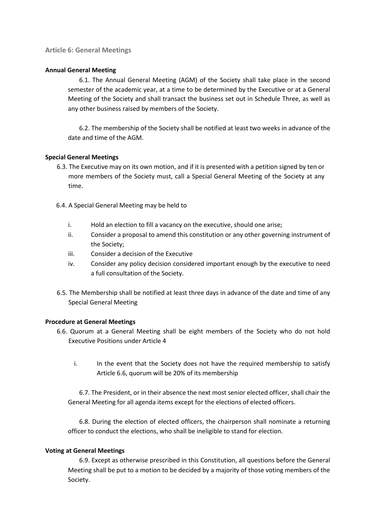#### **Article 6: General Meetings**

#### **Annual General Meeting**

6.1. The Annual General Meeting (AGM) of the Society shall take place in the second semester of the academic year, at a time to be determined by the Executive or at a General Meeting of the Society and shall transact the business set out in Schedule Three, as well as any other business raised by members of the Society.

6.2. The membership of the Society shall be notified at least two weeks in advance of the date and time of the AGM.

#### **Special General Meetings**

- 6.3. The Executive may on its own motion, and if it is presented with a petition signed by ten or more members of the Society must, call a Special General Meeting of the Society at any time.
- 6.4. A Special General Meeting may be held to
	- i. Hold an election to fill a vacancy on the executive, should one arise;
	- ii. Consider a proposal to amend this constitution or any other governing instrument of the Society;
	- iii. Consider a decision of the Executive
	- iv. Consider any policy decision considered important enough by the executive to need a full consultation of the Society.
- 6.5. The Membership shall be notified at least three days in advance of the date and time of any Special General Meeting

#### **Procedure at General Meetings**

- 6.6. Quorum at a General Meeting shall be eight members of the Society who do not hold Executive Positions under Article 4
	- i. In the event that the Society does not have the required membership to satisfy Article 6.6, quorum will be 20% of its membership

6.7. The President, or in their absence the next most senior elected officer, shall chair the General Meeting for all agenda items except for the elections of elected officers.

6.8. During the election of elected officers, the chairperson shall nominate a returning officer to conduct the elections, who shall be ineligible to stand for election.

#### **Voting at General Meetings**

6.9. Except as otherwise prescribed in this Constitution, all questions before the General Meeting shall be put to a motion to be decided by a majority of those voting members of the Society.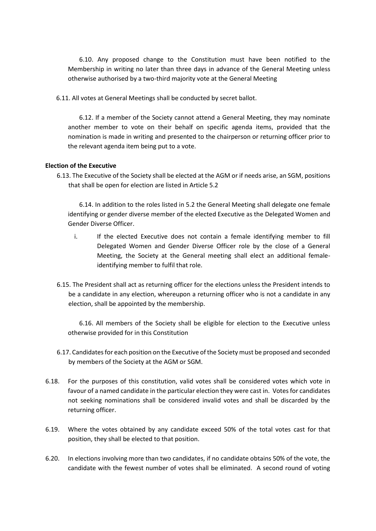6.10. Any proposed change to the Constitution must have been notified to the Membership in writing no later than three days in advance of the General Meeting unless otherwise authorised by a two-third majority vote at the General Meeting

6.11. All votes at General Meetings shall be conducted by secret ballot.

6.12. If a member of the Society cannot attend a General Meeting, they may nominate another member to vote on their behalf on specific agenda items, provided that the nomination is made in writing and presented to the chairperson or returning officer prior to the relevant agenda item being put to a vote.

#### **Election of the Executive**

6.13. The Executive of the Society shall be elected at the AGM or if needs arise, an SGM, positions that shall be open for election are listed in Article 5.2

6.14. In addition to the roles listed in 5.2 the General Meeting shall delegate one female identifying or gender diverse member of the elected Executive as the Delegated Women and Gender Diverse Officer.

- i. If the elected Executive does not contain a female identifying member to fill Delegated Women and Gender Diverse Officer role by the close of a General Meeting, the Society at the General meeting shall elect an additional femaleidentifying member to fulfil that role.
- 6.15. The President shall act as returning officer for the elections unless the President intends to be a candidate in any election, whereupon a returning officer who is not a candidate in any election, shall be appointed by the membership.

6.16. All members of the Society shall be eligible for election to the Executive unless otherwise provided for in this Constitution

- 6.17. Candidates for each position on the Executive of the Society must be proposed and seconded by members of the Society at the AGM or SGM.
- 6.18. For the purposes of this constitution, valid votes shall be considered votes which vote in favour of a named candidate in the particular election they were cast in. Votes for candidates not seeking nominations shall be considered invalid votes and shall be discarded by the returning officer.
- 6.19. Where the votes obtained by any candidate exceed 50% of the total votes cast for that position, they shall be elected to that position.
- 6.20. In elections involving more than two candidates, if no candidate obtains 50% of the vote, the candidate with the fewest number of votes shall be eliminated. A second round of voting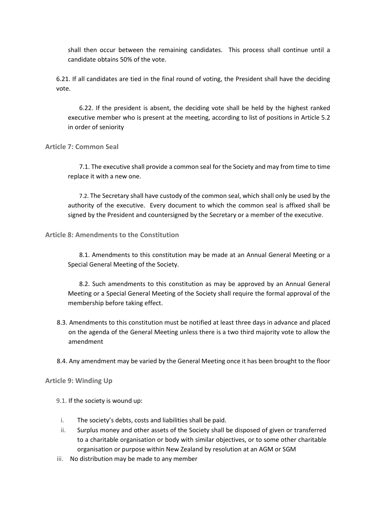shall then occur between the remaining candidates. This process shall continue until a candidate obtains 50% of the vote.

6.21. If all candidates are tied in the final round of voting, the President shall have the deciding vote.

6.22. If the president is absent, the deciding vote shall be held by the highest ranked executive member who is present at the meeting, according to list of positions in Article 5.2 in order of seniority

#### **Article 7: Common Seal**

7.1. The executive shall provide a common seal for the Society and may from time to time replace it with a new one.

7.2. The Secretary shall have custody of the common seal, which shall only be used by the authority of the executive. Every document to which the common seal is affixed shall be signed by the President and countersigned by the Secretary or a member of the executive.

#### **Article 8: Amendments to the Constitution**

8.1. Amendments to this constitution may be made at an Annual General Meeting or a Special General Meeting of the Society.

8.2. Such amendments to this constitution as may be approved by an Annual General Meeting or a Special General Meeting of the Society shall require the formal approval of the membership before taking effect.

- 8.3. Amendments to this constitution must be notified at least three days in advance and placed on the agenda of the General Meeting unless there is a two third majority vote to allow the amendment
- 8.4. Any amendment may be varied by the General Meeting once it has been brought to the floor

#### **Article 9: Winding Up**

- 9.1. If the society is wound up:
- i. The society's debts, costs and liabilities shall be paid.
- ii. Surplus money and other assets of the Society shall be disposed of given or transferred to a charitable organisation or body with similar objectives, or to some other charitable organisation or purpose within New Zealand by resolution at an AGM or SGM
- iii. No distribution may be made to any member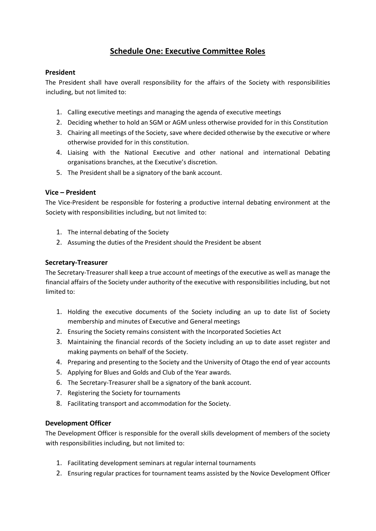### **Schedule One: Executive Committee Roles**

#### **President**

The President shall have overall responsibility for the affairs of the Society with responsibilities including, but not limited to:

- 1. Calling executive meetings and managing the agenda of executive meetings
- 2. Deciding whether to hold an SGM or AGM unless otherwise provided for in this Constitution
- 3. Chairing all meetings of the Society, save where decided otherwise by the executive or where otherwise provided for in this constitution.
- 4. Liaising with the National Executive and other national and international Debating organisations branches, at the Executive's discretion.
- 5. The President shall be a signatory of the bank account.

#### **Vice – President**

The Vice-President be responsible for fostering a productive internal debating environment at the Society with responsibilities including, but not limited to:

- 1. The internal debating of the Society
- 2. Assuming the duties of the President should the President be absent

#### **Secretary-Treasurer**

The Secretary-Treasurer shall keep a true account of meetings of the executive as well as manage the financial affairs of the Society under authority of the executive with responsibilities including, but not limited to:

- 1. Holding the executive documents of the Society including an up to date list of Society membership and minutes of Executive and General meetings
- 2. Ensuring the Society remains consistent with the Incorporated Societies Act
- 3. Maintaining the financial records of the Society including an up to date asset register and making payments on behalf of the Society.
- 4. Preparing and presenting to the Society and the University of Otago the end of year accounts
- 5. Applying for Blues and Golds and Club of the Year awards.
- 6. The Secretary-Treasurer shall be a signatory of the bank account.
- 7. Registering the Society for tournaments
- 8. Facilitating transport and accommodation for the Society.

#### **Development Officer**

The Development Officer is responsible for the overall skills development of members of the society with responsibilities including, but not limited to:

- 1. Facilitating development seminars at regular internal tournaments
- 2. Ensuring regular practices for tournament teams assisted by the Novice Development Officer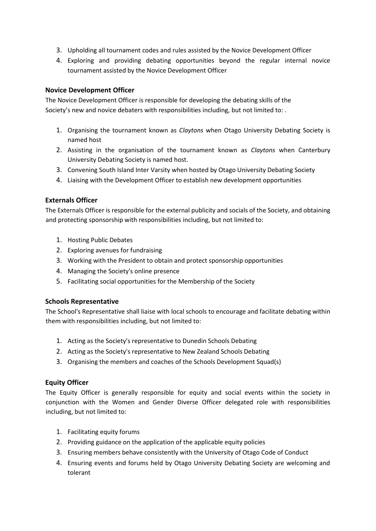- 3. Upholding all tournament codes and rules assisted by the Novice Development Officer
- 4. Exploring and providing debating opportunities beyond the regular internal novice tournament assisted by the Novice Development Officer

#### **Novice Development Officer**

The Novice Development Officer is responsible for developing the debating skills of the Society's new and novice debaters with responsibilities including, but not limited to: .

- 1. Organising the tournament known as *Claytons* when Otago University Debating Society is named host
- 2. Assisting in the organisation of the tournament known as *Claytons* when Canterbury University Debating Society is named host.
- 3. Convening South Island Inter Varsity when hosted by Otago University Debating Society
- 4. Liaising with the Development Officer to establish new development opportunities

#### **Externals Officer**

The Externals Officer is responsible for the external publicity and socials of the Society, and obtaining and protecting sponsorship with responsibilities including, but not limited to:

- 1. Hosting Public Debates
- 2. Exploring avenues for fundraising
- 3. Working with the President to obtain and protect sponsorship opportunities
- 4. Managing the Society's online presence
- 5. Facilitating social opportunities for the Membership of the Society

#### **Schools Representative**

The School's Representative shall liaise with local schools to encourage and facilitate debating within them with responsibilities including, but not limited to:

- 1. Acting as the Society's representative to Dunedin Schools Debating
- 2. Acting as the Society's representative to New Zealand Schools Debating
- 3. Organising the members and coaches of the Schools Development Squad(s)

#### **Equity Officer**

The Equity Officer is generally responsible for equity and social events within the society in conjunction with the Women and Gender Diverse Officer delegated role with responsibilities including, but not limited to:

- 1. Facilitating equity forums
- 2. Providing guidance on the application of the applicable equity policies
- 3. Ensuring members behave consistently with the University of Otago Code of Conduct
- 4. Ensuring events and forums held by Otago University Debating Society are welcoming and tolerant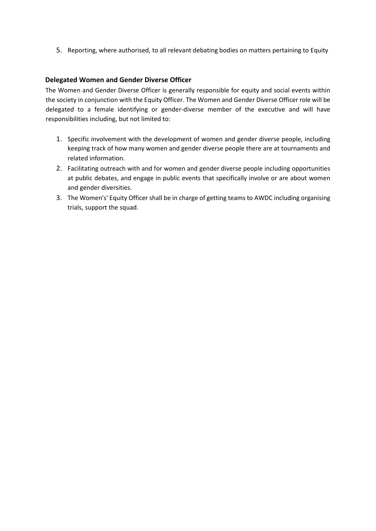5. Reporting, where authorised, to all relevant debating bodies on matters pertaining to Equity

#### **Delegated Women and Gender Diverse Officer**

The Women and Gender Diverse Officer is generally responsible for equity and social events within the society in conjunction with the Equity Officer. The Women and Gender Diverse Officer role will be delegated to a female identifying or gender-diverse member of the executive and will have responsibilities including, but not limited to:

- 1. Specific involvement with the development of women and gender diverse people, including keeping track of how many women and gender diverse people there are at tournaments and related information.
- 2. Facilitating outreach with and for women and gender diverse people including opportunities at public debates, and engage in public events that specifically involve or are about women and gender diversities.
- 3. The Women's' Equity Officer shall be in charge of getting teams to AWDC including organising trials, support the squad.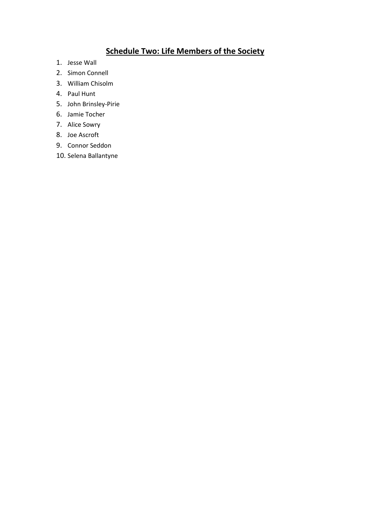## **Schedule Two: Life Members of the Society**

- 1. Jesse Wall
- 2. Simon Connell
- 3. William Chisolm
- 4. Paul Hunt
- 5. John Brinsley-Pirie
- 6. Jamie Tocher
- 7. Alice Sowry
- 8. Joe Ascroft
- 9. Connor Seddon
- 10. Selena Ballantyne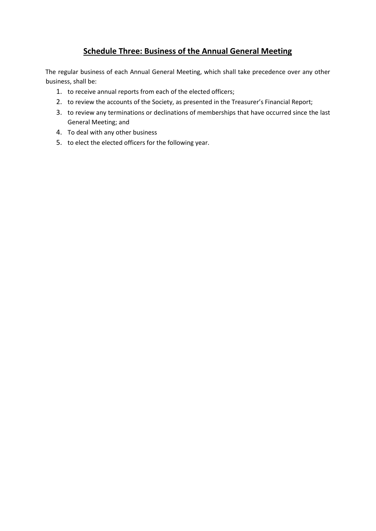## **Schedule Three: Business of the Annual General Meeting**

The regular business of each Annual General Meeting, which shall take precedence over any other business, shall be:

- 1. to receive annual reports from each of the elected officers;
- 2. to review the accounts of the Society, as presented in the Treasurer's Financial Report;
- 3. to review any terminations or declinations of memberships that have occurred since the last General Meeting; and
- 4. To deal with any other business
- 5. to elect the elected officers for the following year.